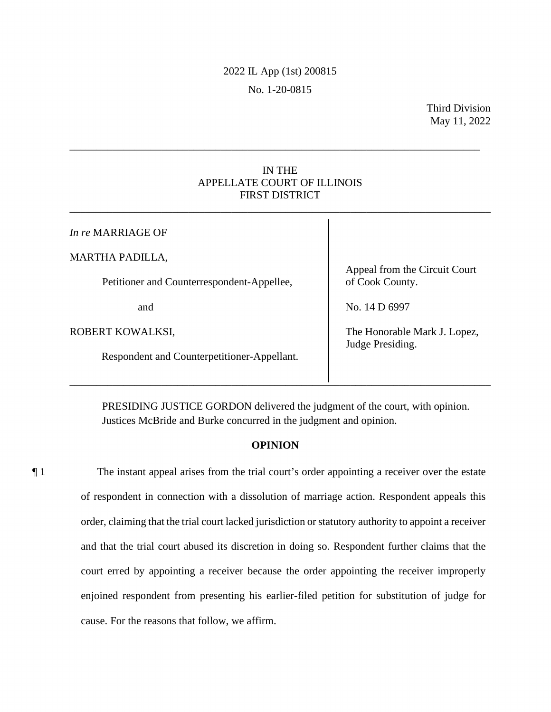# 2022 IL App (1st) 200815 No. 1-20-0815

## IN THE APPELLATE COURT OF ILLINOIS FIRST DISTRICT

\_\_\_\_\_\_\_\_\_\_\_\_\_\_\_\_\_\_\_\_\_\_\_\_\_\_\_\_\_\_\_\_\_\_\_\_\_\_\_\_\_\_\_\_\_\_\_\_\_\_\_\_\_\_\_\_\_\_\_\_\_\_\_\_\_\_\_\_\_\_\_\_\_\_\_\_\_\_

\_\_\_\_\_\_\_\_\_\_\_\_\_\_\_\_\_\_\_\_\_\_\_\_\_\_\_\_\_\_\_\_\_\_\_\_\_\_\_\_\_\_\_\_\_\_\_\_\_\_\_\_\_\_\_\_\_\_\_\_\_\_\_\_\_\_\_\_\_\_\_\_\_\_\_\_

| In re MARRIAGE OF                                                    |                                                  |
|----------------------------------------------------------------------|--------------------------------------------------|
| <b>MARTHA PADILLA,</b><br>Petitioner and Counterrespondent-Appellee, | Appeal from the Circuit Court<br>of Cook County. |
| and                                                                  | No. 14 D 6997                                    |
| ROBERT KOWALKSI,                                                     | The Honorable Mark J. Lopez,<br>Judge Presiding. |
| Respondent and Counterpetitioner-Appellant.                          |                                                  |

 PRESIDING JUSTICE GORDON delivered the judgment of the court, with opinion. Justices McBride and Burke concurred in the judgment and opinion.

# **OPINION**

¶ 1 The instant appeal arises from the trial court's order appointing a receiver over the estate of respondent in connection with a dissolution of marriage action. Respondent appeals this order, claiming that the trial court lacked jurisdiction or statutory authority to appoint a receiver and that the trial court abused its discretion in doing so. Respondent further claims that the court erred by appointing a receiver because the order appointing the receiver improperly enjoined respondent from presenting his earlier-filed petition for substitution of judge for cause. For the reasons that follow, we affirm.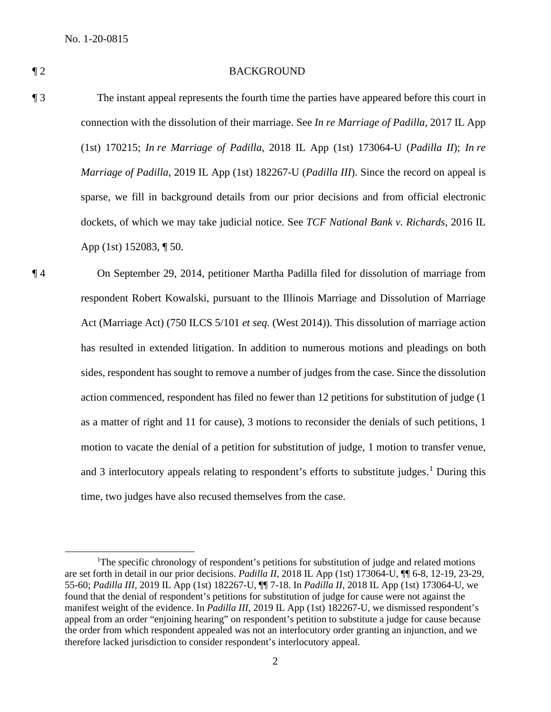#### ¶ 2 BACKGROUND

- ¶ 3 The instant appeal represents the fourth time the parties have appeared before this court in connection with the dissolution of their marriage. See *In re Marriage of Padilla*, 2017 IL App (1st) 170215; *In re Marriage of Padilla*, 2018 IL App (1st) 173064-U (*Padilla II*); *In re Marriage of Padilla*, 2019 IL App (1st) 182267-U (*Padilla III*). Since the record on appeal is sparse, we fill in background details from our prior decisions and from official electronic dockets, of which we may take judicial notice. See *TCF National Bank v. Richards*, 2016 IL App (1st) 152083, ¶ 50.
- ¶ 4 On September 29, 2014, petitioner Martha Padilla filed for dissolution of marriage from respondent Robert Kowalski, pursuant to the Illinois Marriage and Dissolution of Marriage Act (Marriage Act) (750 ILCS 5/101 *et seq.* (West 2014)). This dissolution of marriage action has resulted in extended litigation. In addition to numerous motions and pleadings on both sides, respondent has sought to remove a number of judges from the case. Since the dissolution action commenced, respondent has filed no fewer than 12 petitions for substitution of judge (1 as a matter of right and 11 for cause), 3 motions to reconsider the denials of such petitions, 1 motion to vacate the denial of a petition for substitution of judge, 1 motion to transfer venue, and 3 interlocutory appeals relating to respondent's efforts to substitute judges.<sup>1</sup> During this time, two judges have also recused themselves from the case.

<sup>&</sup>lt;sup>1</sup>The specific chronology of respondent's petitions for substitution of judge and related motions are set forth in detail in our prior decisions. *Padilla II*, 2018 IL App (1st) 173064-U, ¶¶ 6-8, 12-19, 23-29, 55-60; *Padilla III*, 2019 IL App (1st) 182267-U, ¶¶ 7-18. In *Padilla II*, 2018 IL App (1st) 173064-U, we found that the denial of respondent's petitions for substitution of judge for cause were not against the manifest weight of the evidence. In *Padilla III*, 2019 IL App (1st) 182267-U, we dismissed respondent's appeal from an order "enjoining hearing" on respondent's petition to substitute a judge for cause because the order from which respondent appealed was not an interlocutory order granting an injunction, and we therefore lacked jurisdiction to consider respondent's interlocutory appeal.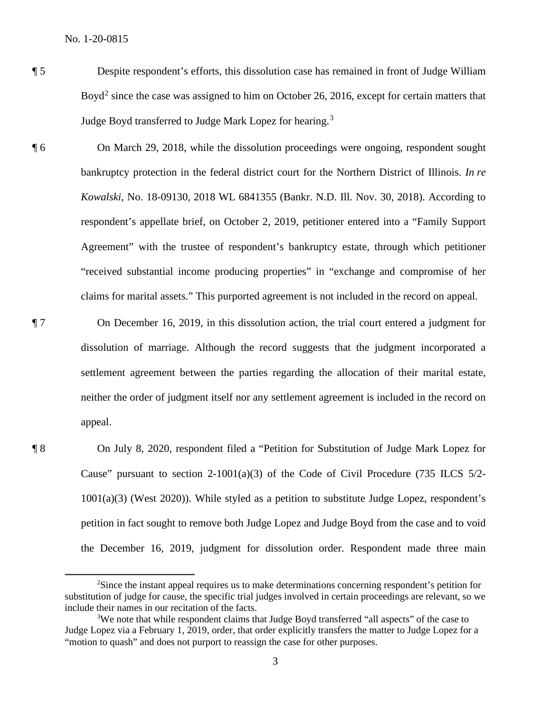- ¶ 5 Despite respondent's efforts, this dissolution case has remained in front of Judge William Boyd<sup>2</sup> since the case was assigned to him on October 26, 2016, except for certain matters that Judge Boyd transferred to Judge Mark Lopez for hearing.<sup>3</sup>
- ¶ 6 On March 29, 2018, while the dissolution proceedings were ongoing, respondent sought bankruptcy protection in the federal district court for the Northern District of Illinois. *In re Kowalski*, No. 18-09130, 2018 WL 6841355 (Bankr. N.D. Ill. Nov. 30, 2018). According to respondent's appellate brief, on October 2, 2019, petitioner entered into a "Family Support Agreement" with the trustee of respondent's bankruptcy estate, through which petitioner "received substantial income producing properties" in "exchange and compromise of her claims for marital assets." This purported agreement is not included in the record on appeal.
- ¶ 7 On December 16, 2019, in this dissolution action, the trial court entered a judgment for dissolution of marriage. Although the record suggests that the judgment incorporated a settlement agreement between the parties regarding the allocation of their marital estate, neither the order of judgment itself nor any settlement agreement is included in the record on appeal.
- ¶ 8 On July 8, 2020, respondent filed a "Petition for Substitution of Judge Mark Lopez for Cause" pursuant to section 2-1001(a)(3) of the Code of Civil Procedure (735 ILCS  $5/2$ -1001(a)(3) (West 2020)). While styled as a petition to substitute Judge Lopez, respondent's petition in fact sought to remove both Judge Lopez and Judge Boyd from the case and to void the December 16, 2019, judgment for dissolution order. Respondent made three main

<sup>&</sup>lt;sup>2</sup>Since the instant appeal requires us to make determinations concerning respondent's petition for substitution of judge for cause, the specific trial judges involved in certain proceedings are relevant, so we include their names in our recitation of the facts.

<sup>&</sup>lt;sup>3</sup>We note that while respondent claims that Judge Boyd transferred "all aspects" of the case to Judge Lopez via a February 1, 2019, order, that order explicitly transfers the matter to Judge Lopez for a "motion to quash" and does not purport to reassign the case for other purposes.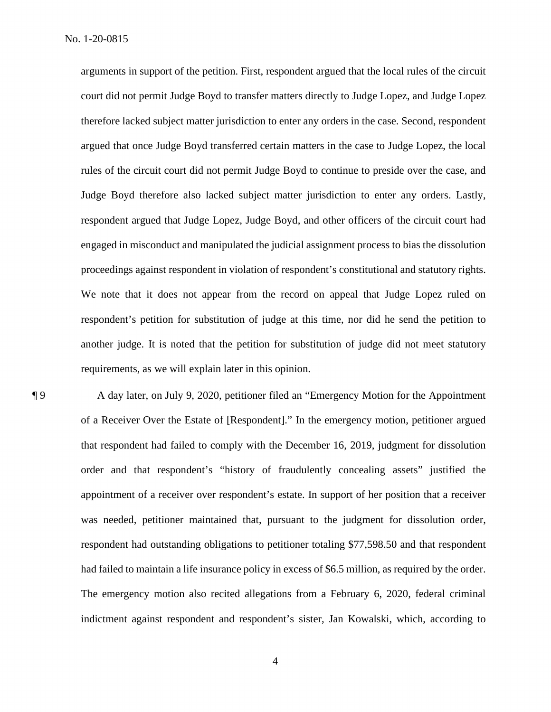arguments in support of the petition. First, respondent argued that the local rules of the circuit court did not permit Judge Boyd to transfer matters directly to Judge Lopez, and Judge Lopez therefore lacked subject matter jurisdiction to enter any orders in the case. Second, respondent argued that once Judge Boyd transferred certain matters in the case to Judge Lopez, the local rules of the circuit court did not permit Judge Boyd to continue to preside over the case, and Judge Boyd therefore also lacked subject matter jurisdiction to enter any orders. Lastly, respondent argued that Judge Lopez, Judge Boyd, and other officers of the circuit court had engaged in misconduct and manipulated the judicial assignment process to bias the dissolution proceedings against respondent in violation of respondent's constitutional and statutory rights. We note that it does not appear from the record on appeal that Judge Lopez ruled on respondent's petition for substitution of judge at this time, nor did he send the petition to another judge. It is noted that the petition for substitution of judge did not meet statutory requirements, as we will explain later in this opinion.

¶ 9 A day later, on July 9, 2020, petitioner filed an "Emergency Motion for the Appointment of a Receiver Over the Estate of [Respondent]." In the emergency motion, petitioner argued that respondent had failed to comply with the December 16, 2019, judgment for dissolution order and that respondent's "history of fraudulently concealing assets" justified the appointment of a receiver over respondent's estate. In support of her position that a receiver was needed, petitioner maintained that, pursuant to the judgment for dissolution order, respondent had outstanding obligations to petitioner totaling \$77,598.50 and that respondent had failed to maintain a life insurance policy in excess of \$6.5 million, as required by the order. The emergency motion also recited allegations from a February 6, 2020, federal criminal indictment against respondent and respondent's sister, Jan Kowalski, which, according to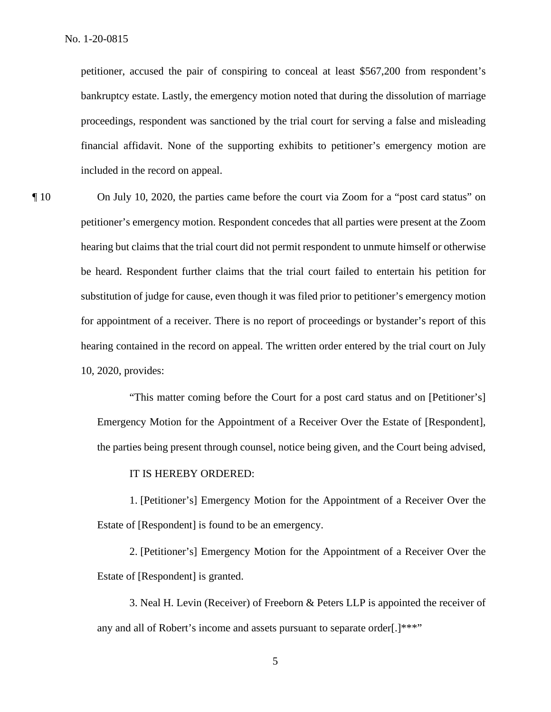petitioner, accused the pair of conspiring to conceal at least \$567,200 from respondent's bankruptcy estate. Lastly, the emergency motion noted that during the dissolution of marriage proceedings, respondent was sanctioned by the trial court for serving a false and misleading financial affidavit. None of the supporting exhibits to petitioner's emergency motion are included in the record on appeal.

¶ 10 On July 10, 2020, the parties came before the court via Zoom for a "post card status" on petitioner's emergency motion. Respondent concedes that all parties were present at the Zoom hearing but claims that the trial court did not permit respondent to unmute himself or otherwise be heard. Respondent further claims that the trial court failed to entertain his petition for substitution of judge for cause, even though it was filed prior to petitioner's emergency motion for appointment of a receiver. There is no report of proceedings or bystander's report of this hearing contained in the record on appeal. The written order entered by the trial court on July 10, 2020, provides:

> "This matter coming before the Court for a post card status and on [Petitioner's] Emergency Motion for the Appointment of a Receiver Over the Estate of [Respondent], the parties being present through counsel, notice being given, and the Court being advised,

#### IT IS HEREBY ORDERED:

1. [Petitioner's] Emergency Motion for the Appointment of a Receiver Over the Estate of [Respondent] is found to be an emergency.

2. [Petitioner's] Emergency Motion for the Appointment of a Receiver Over the Estate of [Respondent] is granted.

3. Neal H. Levin (Receiver) of Freeborn & Peters LLP is appointed the receiver of any and all of Robert's income and assets pursuant to separate order[.]\*\*\*"

5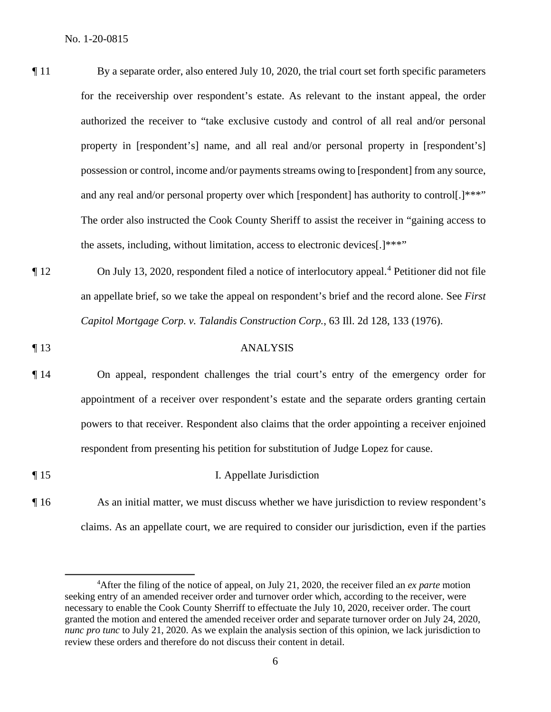- ¶ 11 By a separate order, also entered July 10, 2020, the trial court set forth specific parameters for the receivership over respondent's estate. As relevant to the instant appeal, the order authorized the receiver to "take exclusive custody and control of all real and/or personal property in [respondent's] name, and all real and/or personal property in [respondent's] possession or control, income and/or payments streams owing to [respondent] from any source, and any real and/or personal property over which [respondent] has authority to control[.]\*\*\*" The order also instructed the Cook County Sheriff to assist the receiver in "gaining access to the assets, including, without limitation, access to electronic devices[.]\*\*\*"
- ¶ 12 On July 13, 2020, respondent filed a notice of interlocutory appeal.<sup>4</sup> Petitioner did not file an appellate brief, so we take the appeal on respondent's brief and the record alone. See *First Capitol Mortgage Corp. v. Talandis Construction Corp.*, 63 Ill. 2d 128, 133 (1976).
- ¶ 13 ANALYSIS
- ¶ 14 On appeal, respondent challenges the trial court's entry of the emergency order for appointment of a receiver over respondent's estate and the separate orders granting certain powers to that receiver. Respondent also claims that the order appointing a receiver enjoined respondent from presenting his petition for substitution of Judge Lopez for cause.
- ¶ 15 I. Appellate Jurisdiction ¶ 16 As an initial matter, we must discuss whether we have jurisdiction to review respondent's
	- claims. As an appellate court, we are required to consider our jurisdiction, even if the parties

<sup>4</sup> After the filing of the notice of appeal, on July 21, 2020, the receiver filed an *ex parte* motion seeking entry of an amended receiver order and turnover order which, according to the receiver, were necessary to enable the Cook County Sherriff to effectuate the July 10, 2020, receiver order. The court granted the motion and entered the amended receiver order and separate turnover order on July 24, 2020, *nunc pro tunc* to July 21, 2020. As we explain the analysis section of this opinion, we lack jurisdiction to review these orders and therefore do not discuss their content in detail.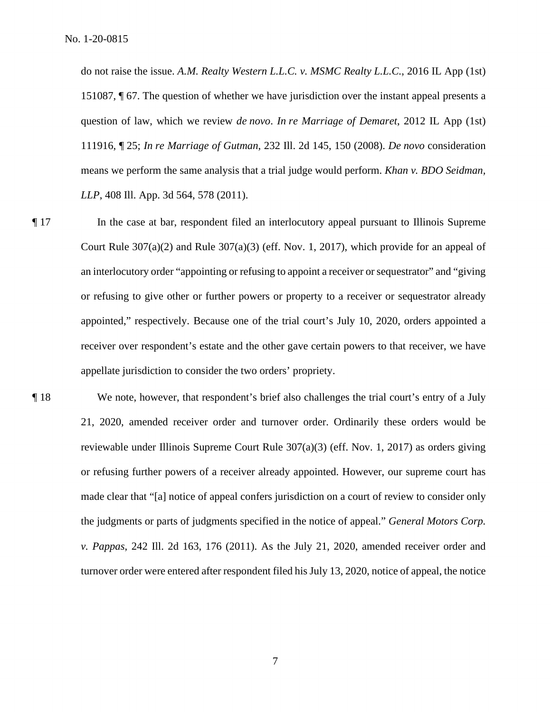do not raise the issue. *A.M. Realty Western L.L.C. v. MSMC Realty L.L.C.*, 2016 IL App (1st) 151087, ¶ 67. The question of whether we have jurisdiction over the instant appeal presents a question of law, which we review *de novo*. *In re Marriage of Demaret*, 2012 IL App (1st) 111916, ¶ 25; *In re Marriage of Gutman*, 232 Ill. 2d 145, 150 (2008). *De novo* consideration means we perform the same analysis that a trial judge would perform. *Khan v. BDO Seidman, LLP*, 408 Ill. App. 3d 564, 578 (2011).

- ¶ 17 In the case at bar, respondent filed an interlocutory appeal pursuant to Illinois Supreme Court Rule  $307(a)(2)$  and Rule  $307(a)(3)$  (eff. Nov. 1, 2017), which provide for an appeal of an interlocutory order "appointing or refusing to appoint a receiver or sequestrator" and "giving or refusing to give other or further powers or property to a receiver or sequestrator already appointed," respectively. Because one of the trial court's July 10, 2020, orders appointed a receiver over respondent's estate and the other gave certain powers to that receiver, we have appellate jurisdiction to consider the two orders' propriety.
- ¶ 18 We note, however, that respondent's brief also challenges the trial court's entry of a July 21, 2020, amended receiver order and turnover order. Ordinarily these orders would be reviewable under Illinois Supreme Court Rule 307(a)(3) (eff. Nov. 1, 2017) as orders giving or refusing further powers of a receiver already appointed. However, our supreme court has made clear that "[a] notice of appeal confers jurisdiction on a court of review to consider only the judgments or parts of judgments specified in the notice of appeal." *General Motors Corp. v. Pappas*, 242 Ill. 2d 163, 176 (2011). As the July 21, 2020, amended receiver order and turnover order were entered after respondent filed his July 13, 2020, notice of appeal, the notice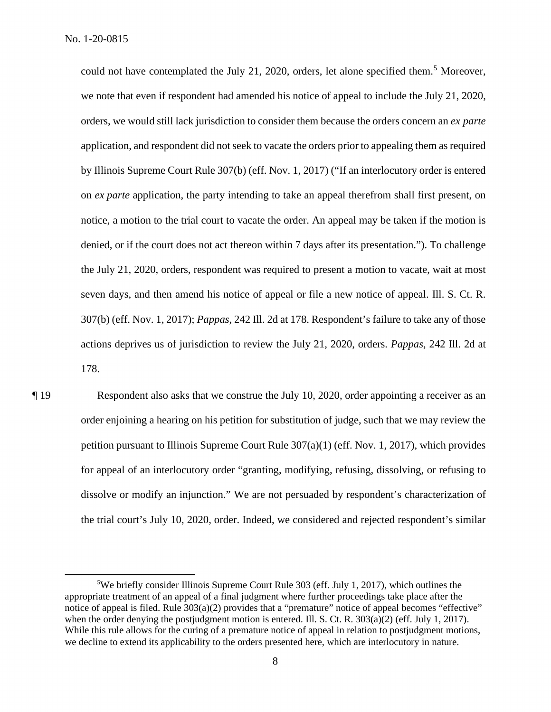could not have contemplated the July 21, 2020, orders, let alone specified them.<sup>5</sup> Moreover, we note that even if respondent had amended his notice of appeal to include the July 21, 2020, orders, we would still lack jurisdiction to consider them because the orders concern an *ex parte* application, and respondent did not seek to vacate the orders prior to appealing them as required by Illinois Supreme Court Rule 307(b) (eff. Nov. 1, 2017) ("If an interlocutory order is entered on *ex parte* application, the party intending to take an appeal therefrom shall first present, on notice, a motion to the trial court to vacate the order. An appeal may be taken if the motion is denied, or if the court does not act thereon within 7 days after its presentation."). To challenge the July 21, 2020, orders, respondent was required to present a motion to vacate, wait at most seven days, and then amend his notice of appeal or file a new notice of appeal. Ill. S. Ct. R. 307(b) (eff. Nov. 1, 2017); *Pappas*, 242 Ill. 2d at 178. Respondent's failure to take any of those actions deprives us of jurisdiction to review the July 21, 2020, orders. *Pappas*, 242 Ill. 2d at 178.

¶ 19 Respondent also asks that we construe the July 10, 2020, order appointing a receiver as an order enjoining a hearing on his petition for substitution of judge, such that we may review the petition pursuant to Illinois Supreme Court Rule 307(a)(1) (eff. Nov. 1, 2017), which provides for appeal of an interlocutory order "granting, modifying, refusing, dissolving, or refusing to dissolve or modify an injunction." We are not persuaded by respondent's characterization of the trial court's July 10, 2020, order. Indeed, we considered and rejected respondent's similar

<sup>&</sup>lt;sup>5</sup>We briefly consider Illinois Supreme Court Rule 303 (eff. July 1, 2017), which outlines the appropriate treatment of an appeal of a final judgment where further proceedings take place after the notice of appeal is filed. Rule 303(a)(2) provides that a "premature" notice of appeal becomes "effective" when the order denying the postjudgment motion is entered. Ill. S. Ct. R.  $303(a)(2)$  (eff. July 1, 2017). While this rule allows for the curing of a premature notice of appeal in relation to postjudgment motions, we decline to extend its applicability to the orders presented here, which are interlocutory in nature.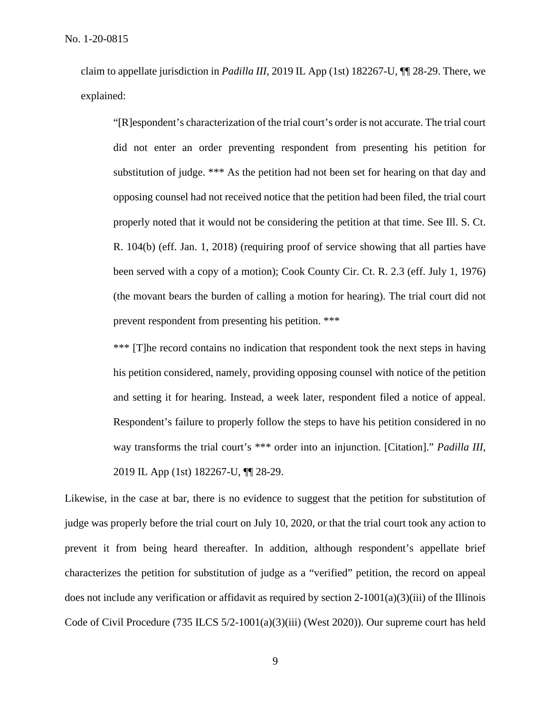claim to appellate jurisdiction in *Padilla III*, 2019 IL App (1st) 182267-U, ¶¶ 28-29. There, we explained:

"[R]espondent's characterization of the trial court's order is not accurate. The trial court did not enter an order preventing respondent from presenting his petition for substitution of judge. \*\*\* As the petition had not been set for hearing on that day and opposing counsel had not received notice that the petition had been filed, the trial court properly noted that it would not be considering the petition at that time. See Ill. S. Ct. R. 104(b) (eff. Jan. 1, 2018) (requiring proof of service showing that all parties have been served with a copy of a motion); Cook County Cir. Ct. R. 2.3 (eff. July 1, 1976) (the movant bears the burden of calling a motion for hearing). The trial court did not prevent respondent from presenting his petition. \*\*\*

\*\*\* [T]he record contains no indication that respondent took the next steps in having his petition considered, namely, providing opposing counsel with notice of the petition and setting it for hearing. Instead, a week later, respondent filed a notice of appeal. Respondent's failure to properly follow the steps to have his petition considered in no way transforms the trial court's \*\*\* order into an injunction. [Citation]." *Padilla III*, 2019 IL App (1st) 182267-U, ¶¶ 28-29.

Likewise, in the case at bar, there is no evidence to suggest that the petition for substitution of judge was properly before the trial court on July 10, 2020, or that the trial court took any action to prevent it from being heard thereafter. In addition, although respondent's appellate brief characterizes the petition for substitution of judge as a "verified" petition, the record on appeal does not include any verification or affidavit as required by section  $2-1001(a)(3)(iii)$  of the Illinois Code of Civil Procedure (735 ILCS 5/2-1001(a)(3)(iii) (West 2020)). Our supreme court has held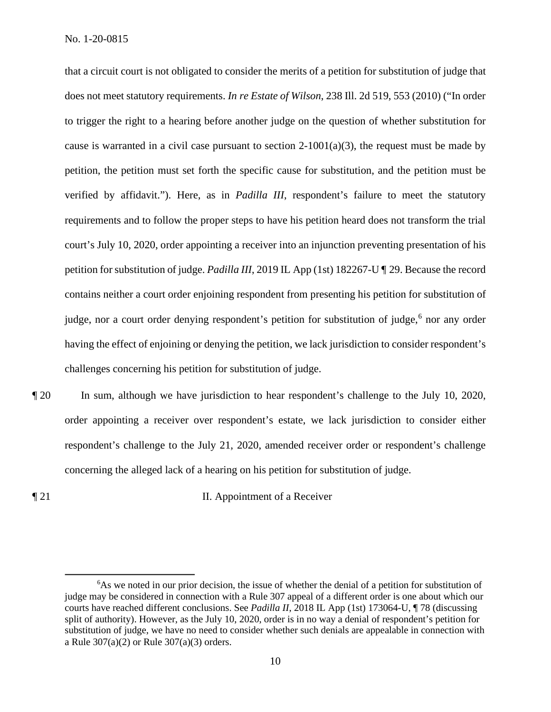that a circuit court is not obligated to consider the merits of a petition for substitution of judge that does not meet statutory requirements. *In re Estate of Wilson*, 238 Ill. 2d 519, 553 (2010) ("In order to trigger the right to a hearing before another judge on the question of whether substitution for cause is warranted in a civil case pursuant to section  $2-1001(a)(3)$ , the request must be made by petition, the petition must set forth the specific cause for substitution, and the petition must be verified by affidavit."). Here, as in *Padilla III*, respondent's failure to meet the statutory requirements and to follow the proper steps to have his petition heard does not transform the trial court's July 10, 2020, order appointing a receiver into an injunction preventing presentation of his petition for substitution of judge. *Padilla III*, 2019 IL App (1st) 182267-U ¶ 29. Because the record contains neither a court order enjoining respondent from presenting his petition for substitution of judge, nor a court order denying respondent's petition for substitution of judge,<sup>6</sup> nor any order having the effect of enjoining or denying the petition, we lack jurisdiction to consider respondent's challenges concerning his petition for substitution of judge.

¶ 20 In sum, although we have jurisdiction to hear respondent's challenge to the July 10, 2020, order appointing a receiver over respondent's estate, we lack jurisdiction to consider either respondent's challenge to the July 21, 2020, amended receiver order or respondent's challenge concerning the alleged lack of a hearing on his petition for substitution of judge.

**The II. Appointment of a Receiver** 

<sup>&</sup>lt;sup>6</sup>As we noted in our prior decision, the issue of whether the denial of a petition for substitution of judge may be considered in connection with a Rule 307 appeal of a different order is one about which our courts have reached different conclusions. See *Padilla II*, 2018 IL App (1st) 173064-U, ¶ 78 (discussing split of authority). However, as the July 10, 2020, order is in no way a denial of respondent's petition for substitution of judge, we have no need to consider whether such denials are appealable in connection with a Rule 307(a)(2) or Rule 307(a)(3) orders.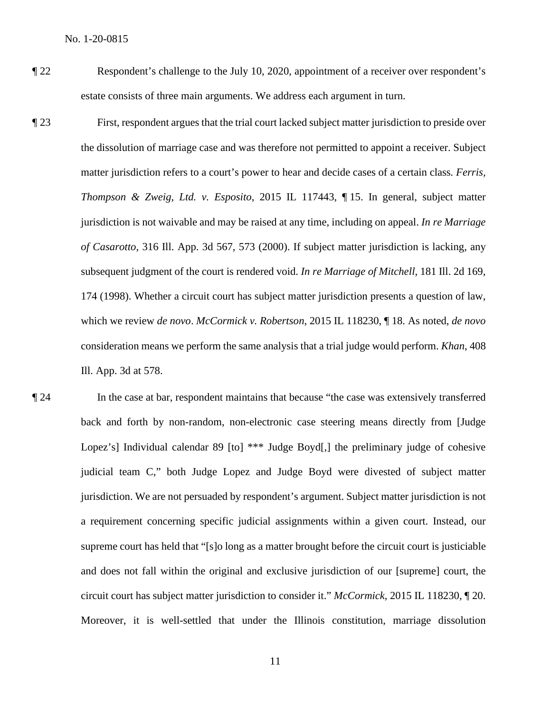- ¶ 22 Respondent's challenge to the July 10, 2020, appointment of a receiver over respondent's estate consists of three main arguments. We address each argument in turn.
- ¶ 23 First, respondent argues that the trial court lacked subject matter jurisdiction to preside over the dissolution of marriage case and was therefore not permitted to appoint a receiver. Subject matter jurisdiction refers to a court's power to hear and decide cases of a certain class*. Ferris, Thompson & Zweig, Ltd. v. Esposito*, 2015 IL 117443, ¶ 15. In general, subject matter jurisdiction is not waivable and may be raised at any time, including on appeal. *In re Marriage of Casarotto*, 316 Ill. App. 3d 567, 573 (2000). If subject matter jurisdiction is lacking, any subsequent judgment of the court is rendered void. *In re Marriage of Mitchell*, 181 Ill. 2d 169, 174 (1998). Whether a circuit court has subject matter jurisdiction presents a question of law, which we review *de novo*. *McCormick v. Robertson*, 2015 IL 118230, ¶ 18. As noted, *de novo* consideration means we perform the same analysis that a trial judge would perform. *Khan*, 408 Ill. App. 3d at 578.
- ¶ 24 In the case at bar, respondent maintains that because "the case was extensively transferred back and forth by non-random, non-electronic case steering means directly from [Judge Lopez's] Individual calendar 89 [to] \*\*\* Judge Boyd[,] the preliminary judge of cohesive judicial team C," both Judge Lopez and Judge Boyd were divested of subject matter jurisdiction. We are not persuaded by respondent's argument. Subject matter jurisdiction is not a requirement concerning specific judicial assignments within a given court. Instead, our supreme court has held that "[s]o long as a matter brought before the circuit court is justiciable and does not fall within the original and exclusive jurisdiction of our [supreme] court, the circuit court has subject matter jurisdiction to consider it." *McCormick*, 2015 IL 118230, ¶ 20. Moreover, it is well-settled that under the Illinois constitution, marriage dissolution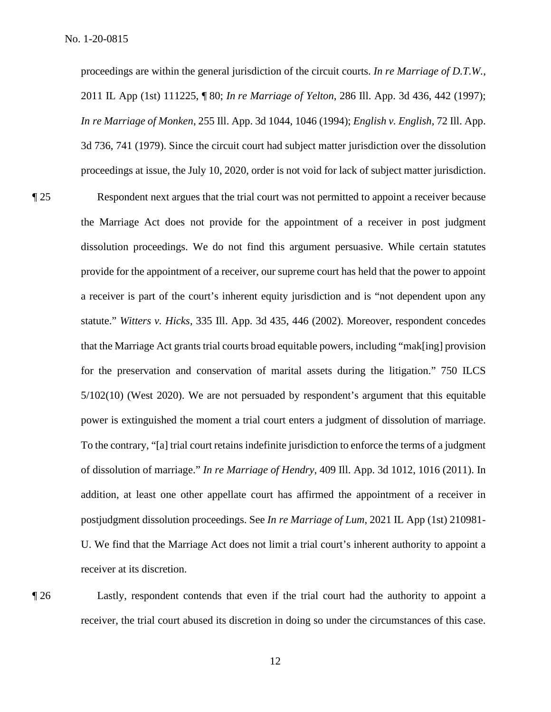proceedings are within the general jurisdiction of the circuit courts. *In re Marriage of D.T.W.*, 2011 IL App (1st) 111225, ¶ 80; *In re Marriage of Yelton*, 286 Ill. App. 3d 436, 442 (1997); *In re Marriage of Monken*, 255 Ill. App. 3d 1044, 1046 (1994); *English v. English*, 72 Ill. App. 3d 736, 741 (1979). Since the circuit court had subject matter jurisdiction over the dissolution proceedings at issue, the July 10, 2020, order is not void for lack of subject matter jurisdiction.

¶ 25 Respondent next argues that the trial court was not permitted to appoint a receiver because the Marriage Act does not provide for the appointment of a receiver in post judgment dissolution proceedings. We do not find this argument persuasive. While certain statutes provide for the appointment of a receiver, our supreme court has held that the power to appoint a receiver is part of the court's inherent equity jurisdiction and is "not dependent upon any statute." *Witters v. Hicks*, 335 Ill. App. 3d 435, 446 (2002). Moreover, respondent concedes that the Marriage Act grants trial courts broad equitable powers, including "mak[ing] provision for the preservation and conservation of marital assets during the litigation." 750 ILCS 5/102(10) (West 2020). We are not persuaded by respondent's argument that this equitable power is extinguished the moment a trial court enters a judgment of dissolution of marriage. To the contrary, "[a] trial court retains indefinite jurisdiction to enforce the terms of a judgment of dissolution of marriage." *In re Marriage of Hendry*, 409 Ill. App. 3d 1012, 1016 (2011). In addition, at least one other appellate court has affirmed the appointment of a receiver in postjudgment dissolution proceedings. See *In re Marriage of Lum*, 2021 IL App (1st) 210981- U. We find that the Marriage Act does not limit a trial court's inherent authority to appoint a receiver at its discretion.

¶ 26 Lastly, respondent contends that even if the trial court had the authority to appoint a receiver, the trial court abused its discretion in doing so under the circumstances of this case.

12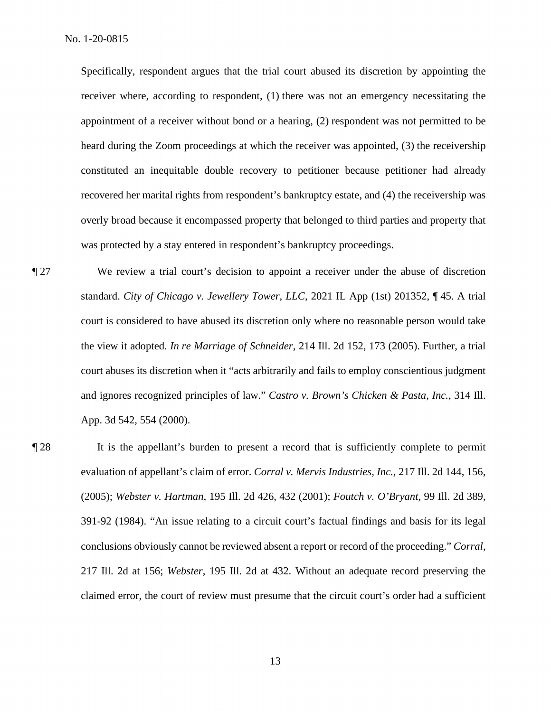Specifically, respondent argues that the trial court abused its discretion by appointing the receiver where, according to respondent, (1) there was not an emergency necessitating the appointment of a receiver without bond or a hearing, (2) respondent was not permitted to be heard during the Zoom proceedings at which the receiver was appointed, (3) the receivership constituted an inequitable double recovery to petitioner because petitioner had already recovered her marital rights from respondent's bankruptcy estate, and (4) the receivership was overly broad because it encompassed property that belonged to third parties and property that was protected by a stay entered in respondent's bankruptcy proceedings.

¶ 27 We review a trial court's decision to appoint a receiver under the abuse of discretion standard. *City of Chicago v. Jewellery Tower*, *LLC*, 2021 IL App (1st) 201352, ¶ 45. A trial court is considered to have abused its discretion only where no reasonable person would take the view it adopted. *In re Marriage of Schneider*, 214 Ill. 2d 152, 173 (2005). Further, a trial court abuses its discretion when it "acts arbitrarily and fails to employ conscientious judgment and ignores recognized principles of law." *Castro v. Brown's Chicken & Pasta, Inc.*, 314 Ill. App. 3d 542, 554 (2000).

¶ 28 It is the appellant's burden to present a record that is sufficiently complete to permit evaluation of appellant's claim of error. *Corral v. Mervis Industries, Inc.*, 217 Ill. 2d 144, 156, (2005); *Webster v. Hartman*, 195 Ill. 2d 426, 432 (2001); *Foutch v. O'Bryant*, 99 Ill. 2d 389, 391-92 (1984). "An issue relating to a circuit court's factual findings and basis for its legal conclusions obviously cannot be reviewed absent a report or record of the proceeding." *Corral*, 217 Ill. 2d at 156; *Webster*, 195 Ill. 2d at 432. Without an adequate record preserving the claimed error, the court of review must presume that the circuit court's order had a sufficient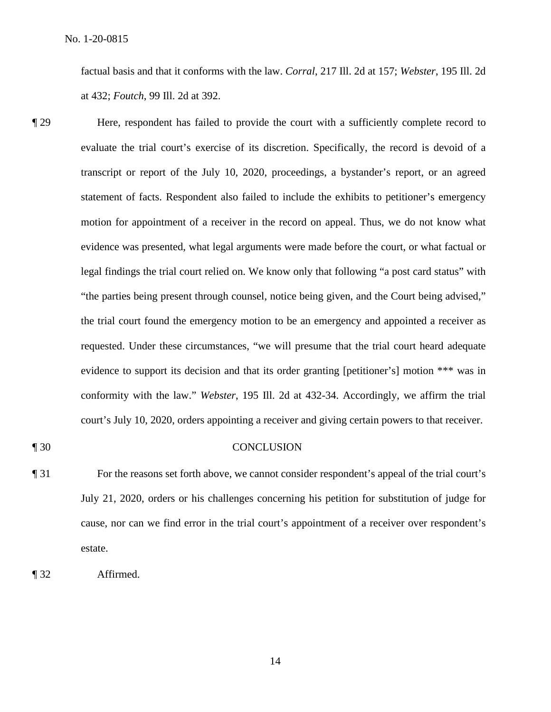factual basis and that it conforms with the law. *Corral*, 217 Ill. 2d at 157; *Webster*, 195 Ill. 2d at 432; *Foutch*, 99 Ill. 2d at 392.

- ¶ 29 Here, respondent has failed to provide the court with a sufficiently complete record to evaluate the trial court's exercise of its discretion. Specifically, the record is devoid of a transcript or report of the July 10, 2020, proceedings, a bystander's report, or an agreed statement of facts. Respondent also failed to include the exhibits to petitioner's emergency motion for appointment of a receiver in the record on appeal. Thus, we do not know what evidence was presented, what legal arguments were made before the court, or what factual or legal findings the trial court relied on. We know only that following "a post card status" with "the parties being present through counsel, notice being given, and the Court being advised," the trial court found the emergency motion to be an emergency and appointed a receiver as requested. Under these circumstances, "we will presume that the trial court heard adequate evidence to support its decision and that its order granting [petitioner's] motion \*\*\* was in conformity with the law." *Webster*, 195 Ill. 2d at 432-34. Accordingly, we affirm the trial court's July 10, 2020, orders appointing a receiver and giving certain powers to that receiver.
- 

#### ¶ 30 CONCLUSION

¶ 31 For the reasons set forth above, we cannot consider respondent's appeal of the trial court's July 21, 2020, orders or his challenges concerning his petition for substitution of judge for cause, nor can we find error in the trial court's appointment of a receiver over respondent's estate.

¶ 32 Affirmed.

14